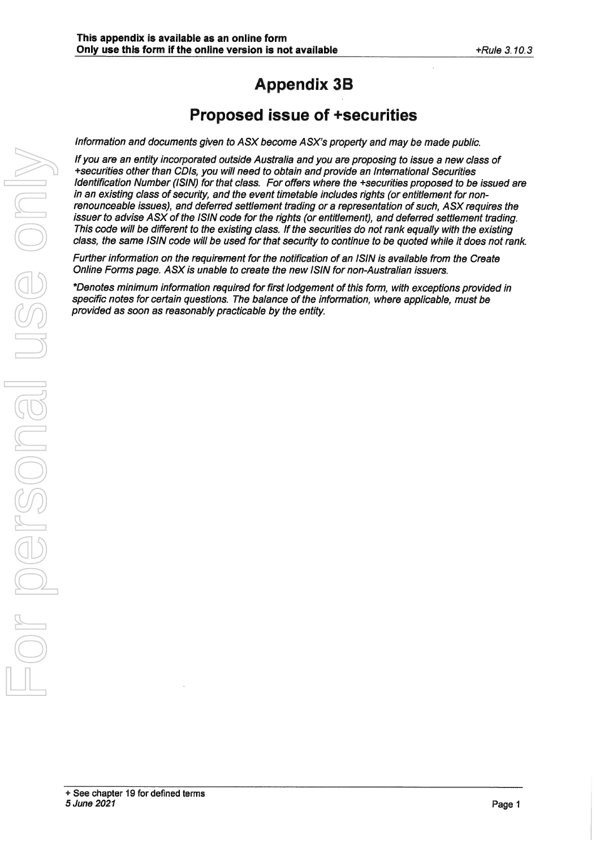# **Appendix 3B**

# **Proposed issue of +securities**

Information and documents given to ASX become ASX's property and may be made public.

If you are an entity incorporated outside Australia and you are proposing to issue <sup>a</sup> new class of +securities other than CDls, you will need to obtain and provide an International Securities Identification Number (IS/N) for that class. For offers where the +securities proposed to be issued are in an existing class of security, and the event timetable includes rights (or entitlement for nonrenounceable issues), and deferred settlement trading or a representation of such, ASX requires the issuer to advise ASX of the IS/N code for the rights (or entitlement), and deferred settlement trading. This code will be different to the existing class. If the securities do not rank equally with the existing class, the same IS/N code will be used for that security to continue to be quoted while it does not rank. If you are an entity incorporated votation 4 Australia and you are proposing to those personal use only with  $\frac{1}{2}$  personal use only  $\frac{1}{2}$  and  $\frac{1}{2}$  and  $\frac{1}{2}$  and  $\frac{1}{2}$  and  $\frac{1}{2}$  and  $\frac{1}{2}$  and

Further information on the requirement for the notification of an IS/N is available from the Create Online Forms page. ASX is unable to create the new ISIN for non-Australian issuers.

\*Denotes minimum information required for first lodgement of this form, with exceptions provided in specific notes for certain questions. The balance of the information, where applicable, must be provided as soon as reasonably practicable by the entity.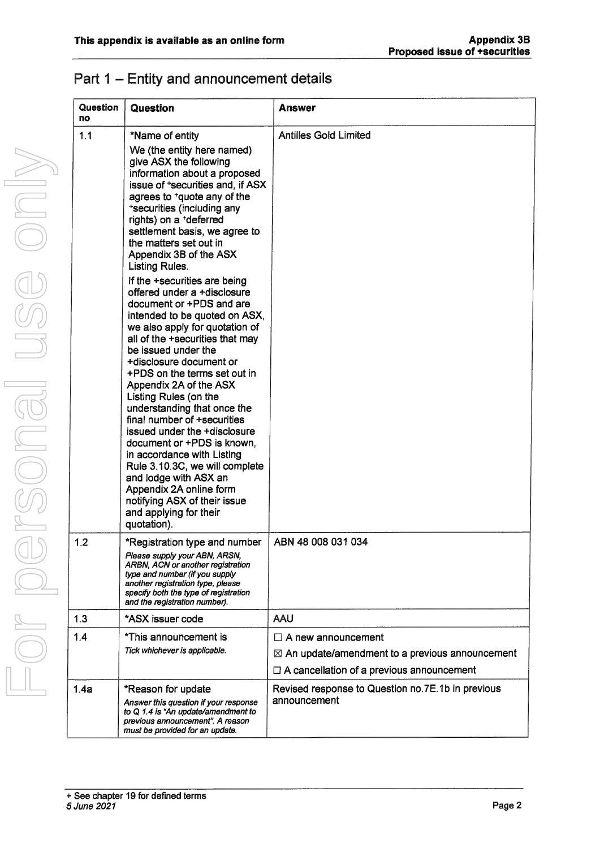|  | Part 1 – Entity and announcement details |  |
|--|------------------------------------------|--|

| Question<br>no | <b>Question</b>                                                                                                                                                                                                     | <b>Answer</b>                                                     |
|----------------|---------------------------------------------------------------------------------------------------------------------------------------------------------------------------------------------------------------------|-------------------------------------------------------------------|
| 1.1            | *Name of entity                                                                                                                                                                                                     | <b>Antilles Gold Limited</b>                                      |
|                | We (the entity here named)<br>give ASX the following<br>information about a proposed<br>issue of *securities and, if ASX                                                                                            |                                                                   |
|                | agrees to <sup>+</sup> quote any of the<br>*securities (including any<br>rights) on a +deferred<br>settlement basis, we agree to<br>the matters set out in                                                          |                                                                   |
|                | Appendix 3B of the ASX<br><b>Listing Rules.</b>                                                                                                                                                                     |                                                                   |
|                | If the +securities are being<br>offered under a +disclosure<br>document or +PDS and are                                                                                                                             |                                                                   |
|                | intended to be quoted on ASX,<br>we also apply for quotation of<br>all of the +securities that may<br>be issued under the                                                                                           |                                                                   |
|                | +disclosure document or<br>+PDS on the terms set out in<br>Appendix 2A of the ASX                                                                                                                                   |                                                                   |
|                | Listing Rules (on the<br>understanding that once the<br>final number of +securities<br>issued under the +disclosure                                                                                                 |                                                                   |
|                | document or +PDS is known,<br>in accordance with Listing<br>Rule 3.10.3C, we will complete<br>and lodge with ASX an                                                                                                 |                                                                   |
|                | Appendix 2A online form<br>notifying ASX of their issue<br>and applying for their<br>quotation).                                                                                                                    |                                                                   |
| 1.2            | *Registration type and number                                                                                                                                                                                       | ABN 48 008 031 034                                                |
|                | Please supply your ABN, ARSN,<br>ARBN, ACN or another registration<br>type and number (if you supply<br>another registration type, please<br>specify both the type of registration<br>and the registration number). |                                                                   |
| 1.3            | *ASX issuer code                                                                                                                                                                                                    | AAU                                                               |
| 1.4            | *This announcement is                                                                                                                                                                                               | $\Box$ A new announcement                                         |
|                | Tick whichever is applicable.                                                                                                                                                                                       | $\boxtimes$ An update/amendment to a previous announcement        |
|                |                                                                                                                                                                                                                     | $\Box$ A cancellation of a previous announcement                  |
| 1.4a           | *Reason for update<br>Answer this question if your response<br>to Q 1.4 is "An update/amendment to<br>previous announcement". A reason<br>must be provided for an update.                                           | Revised response to Question no.7E.1b in previous<br>announcement |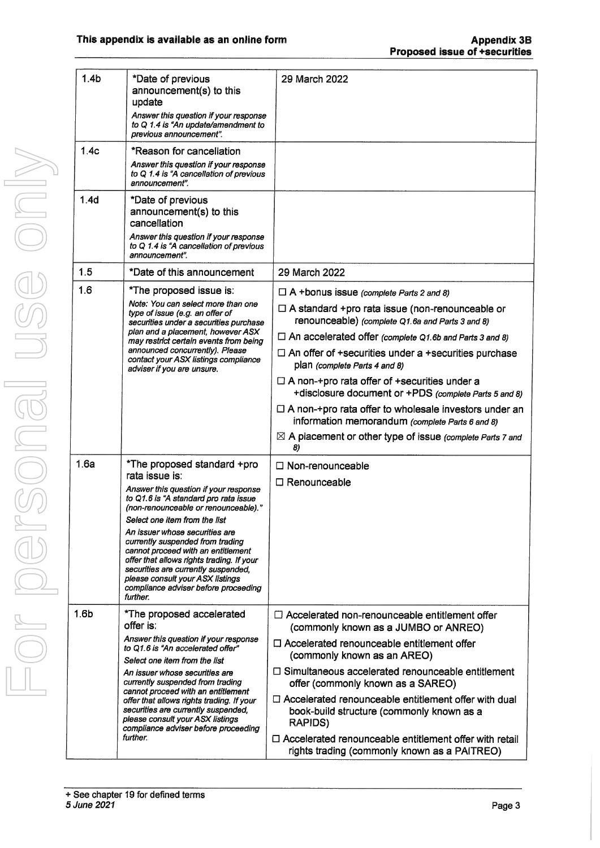| 1.4 <sub>b</sub> | *Date of previous<br>announcement(s) to this<br>update<br>Answer this question if your response<br>to Q 1.4 is "An update/amendment to<br>previous announcement".                                                                                                                                                                                                                                                                                                                                | 29 March 2022                                                                                                                                                                                                                                                                                                                                                                                                                                                                                                                                                                                                                                   |
|------------------|--------------------------------------------------------------------------------------------------------------------------------------------------------------------------------------------------------------------------------------------------------------------------------------------------------------------------------------------------------------------------------------------------------------------------------------------------------------------------------------------------|-------------------------------------------------------------------------------------------------------------------------------------------------------------------------------------------------------------------------------------------------------------------------------------------------------------------------------------------------------------------------------------------------------------------------------------------------------------------------------------------------------------------------------------------------------------------------------------------------------------------------------------------------|
| 1.4c             | *Reason for cancellation<br>Answer this question if your response<br>to Q 1.4 is "A cancellation of previous<br>announcement".                                                                                                                                                                                                                                                                                                                                                                   |                                                                                                                                                                                                                                                                                                                                                                                                                                                                                                                                                                                                                                                 |
| 1.4d             | *Date of previous<br>announcement(s) to this<br>cancellation<br>Answer this question if your response<br>to Q 1.4 is "A cancellation of previous<br>announcement".                                                                                                                                                                                                                                                                                                                               |                                                                                                                                                                                                                                                                                                                                                                                                                                                                                                                                                                                                                                                 |
| 1.5              | *Date of this announcement                                                                                                                                                                                                                                                                                                                                                                                                                                                                       | 29 March 2022                                                                                                                                                                                                                                                                                                                                                                                                                                                                                                                                                                                                                                   |
| 1.6              | *The proposed issue is:<br>Note: You can select more than one<br>type of issue (e.g. an offer of<br>securities under a securities purchase<br>plan and a placement, however ASX<br>may restrict certain events from being<br>announced concurrently). Please<br>contact your ASX listings compliance<br>adviser if you are unsure.                                                                                                                                                               | $\Box$ A +bonus issue (complete Parts 2 and 8)<br>$\Box$ A standard +pro rata issue (non-renounceable or<br>renounceable) (complete Q1.6a and Parts 3 and 8)<br>$\Box$ An accelerated offer (complete Q1.6b and Parts 3 and 8)<br>$\Box$ An offer of +securities under a +securities purchase<br>plan (complete Parts 4 and 8)<br>$\Box$ A non-+pro rata offer of +securities under a<br>+disclosure document or +PDS (complete Parts 5 and 8)<br>$\Box$ A non-+pro rata offer to wholesale investors under an<br>information memorandum (complete Parts 6 and 8)<br>$\boxtimes$ A placement or other type of issue (complete Parts 7 and<br>8) |
| 1.6a             | *The proposed standard +pro<br>rata issue is:<br>Answer this question if your response<br>to Q1.6 is "A standard pro rata issue<br>(non-renounceable or renounceable)."<br>Select one item from the list<br>An issuer whose securities are<br>currently suspended from trading<br>cannot proceed with an entitlement<br>offer that allows rights trading. If your<br>securities are currently suspended,<br>please consult your ASX listings<br>compliance adviser before proceeding<br>further. | $\Box$ Non-renounceable<br>$\Box$ Renounceable                                                                                                                                                                                                                                                                                                                                                                                                                                                                                                                                                                                                  |
| 1.6 <sub>b</sub> | *The proposed accelerated<br>offer is:<br>Answer this question if your response<br>to Q1.6 is "An accelerated offer"<br>Select one item from the list<br>An issuer whose securities are<br>currently suspended from trading<br>cannot proceed with an entitlement<br>offer that allows rights trading. If your<br>securities are currently suspended,<br>please consult your ASX listings<br>compliance adviser before proceeding<br>further.                                                    | $\Box$ Accelerated non-renounceable entitlement offer<br>(commonly known as a JUMBO or ANREO)<br>$\Box$ Accelerated renounceable entitlement offer<br>(commonly known as an AREO)<br>$\Box$ Simultaneous accelerated renounceable entitlement<br>offer (commonly known as a SAREO)<br>$\Box$ Accelerated renounceable entitlement offer with dual<br>book-build structure (commonly known as a<br>RAPIDS)<br>$\Box$ Accelerated renounceable entitlement offer with retail<br>rights trading (commonly known as a PAITREO)                                                                                                                      |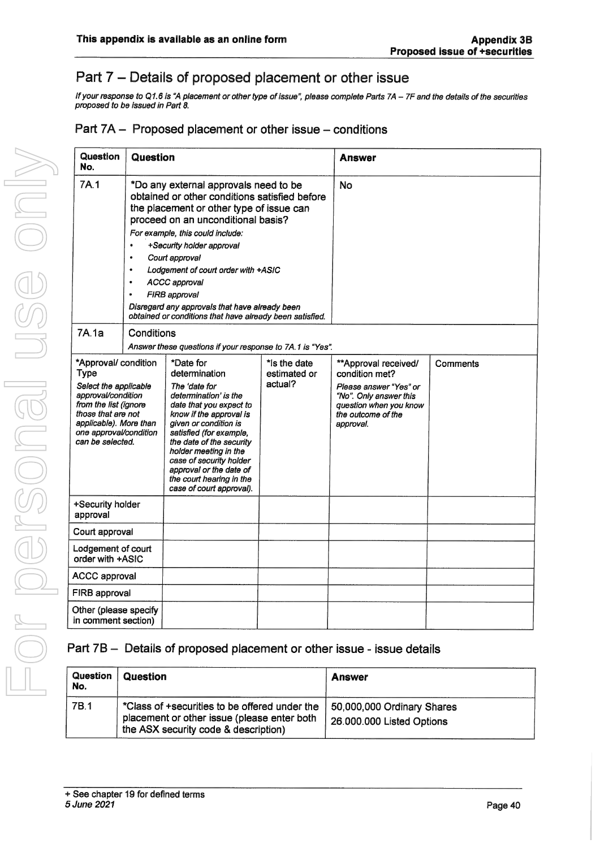## Part 7 - Details of proposed placement or other issue

If your response to Q1.6 is "A placement or other type of issue", please complete Parts 7A - 7F and the details of the securities proposed to be issued in Part 8.

#### Part  $7A -$  Proposed placement or other issue  $-$  conditions

| Question<br>No.                                                                                                                                                                                                                                                                                                                                                                                                                                                                                               | Question   |                                                                                                                                                                                                                                                                                                                                                                                                                | <b>Answer</b>                            |                                                                                                                                                         |          |
|---------------------------------------------------------------------------------------------------------------------------------------------------------------------------------------------------------------------------------------------------------------------------------------------------------------------------------------------------------------------------------------------------------------------------------------------------------------------------------------------------------------|------------|----------------------------------------------------------------------------------------------------------------------------------------------------------------------------------------------------------------------------------------------------------------------------------------------------------------------------------------------------------------------------------------------------------------|------------------------------------------|---------------------------------------------------------------------------------------------------------------------------------------------------------|----------|
| 7A.1<br>*Do any external approvals need to be<br>obtained or other conditions satisfied before<br>the placement or other type of issue can<br>proceed on an unconditional basis?<br>For example, this could include:<br>+Security holder approval<br>$\bullet$<br>$\bullet$<br>Court approval<br>Lodgement of court order with +ASIC<br>$\bullet$<br><b>ACCC approval</b><br>FIRB approval<br>٠<br>Disregard any approvals that have already been<br>obtained or conditions that have already been satisfied. |            |                                                                                                                                                                                                                                                                                                                                                                                                                | No                                       |                                                                                                                                                         |          |
| 7A.1a                                                                                                                                                                                                                                                                                                                                                                                                                                                                                                         | Conditions |                                                                                                                                                                                                                                                                                                                                                                                                                |                                          |                                                                                                                                                         |          |
| *Approval/ condition<br><b>Type</b><br>Select the applicable<br>approval/condition<br>from the list (ignore<br>those that are not<br>applicable). More than<br>one approval/condition<br>can be selected.                                                                                                                                                                                                                                                                                                     |            | Answer these questions if your response to 7A.1 is "Yes".<br>*Date for<br>determination<br>The 'date for<br>determination' is the<br>date that you expect to<br>know if the approval is<br>given or condition is<br>satisfied (for example,<br>the date of the security<br>holder meeting in the<br>case of security holder<br>approval or the date of<br>the court hearing in the<br>case of court approval). | * Is the date<br>estimated or<br>actual? | **Approval received/<br>condition met?<br>Please answer "Yes" or<br>"No". Only answer this<br>question when you know<br>the outcome of the<br>approval. | Comments |
| +Security holder<br>approval                                                                                                                                                                                                                                                                                                                                                                                                                                                                                  |            |                                                                                                                                                                                                                                                                                                                                                                                                                |                                          |                                                                                                                                                         |          |
| Court approval                                                                                                                                                                                                                                                                                                                                                                                                                                                                                                |            |                                                                                                                                                                                                                                                                                                                                                                                                                |                                          |                                                                                                                                                         |          |
| Lodgement of court<br>order with +ASIC                                                                                                                                                                                                                                                                                                                                                                                                                                                                        |            |                                                                                                                                                                                                                                                                                                                                                                                                                |                                          |                                                                                                                                                         |          |
| <b>ACCC approval</b>                                                                                                                                                                                                                                                                                                                                                                                                                                                                                          |            |                                                                                                                                                                                                                                                                                                                                                                                                                |                                          |                                                                                                                                                         |          |
| FIRB approval                                                                                                                                                                                                                                                                                                                                                                                                                                                                                                 |            |                                                                                                                                                                                                                                                                                                                                                                                                                |                                          |                                                                                                                                                         |          |
| Other (please specify<br>in comment section)                                                                                                                                                                                                                                                                                                                                                                                                                                                                  |            |                                                                                                                                                                                                                                                                                                                                                                                                                |                                          |                                                                                                                                                         |          |

#### Part 7B - Details of proposed placement or other issue - issue details

| Question<br>No. | Question                                                                                                                             | Answer                                                  |
|-----------------|--------------------------------------------------------------------------------------------------------------------------------------|---------------------------------------------------------|
| 7B.1            | *Class of +securities to be offered under the<br>placement or other issue (please enter both<br>the ASX security code & description) | 50,000,000 Ordinary Shares<br>26.000.000 Listed Options |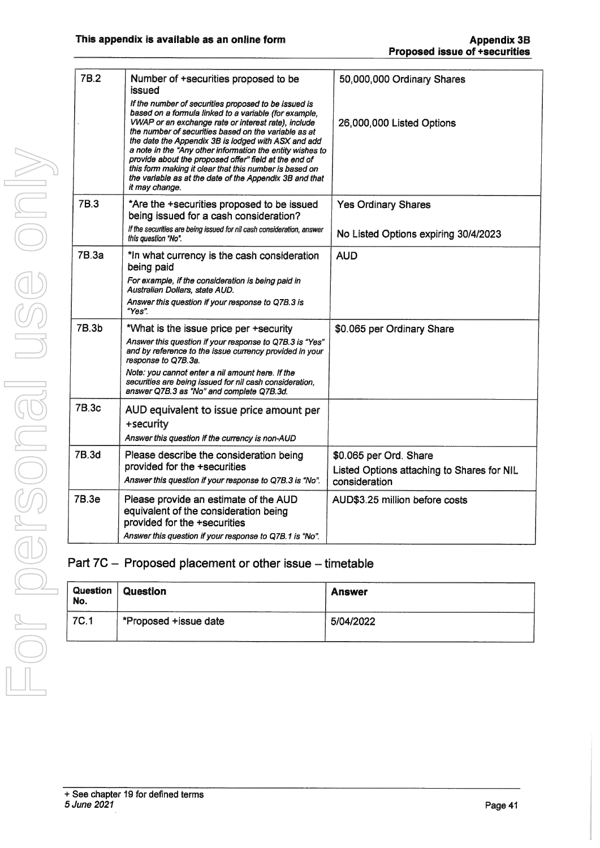| <b>7B.2</b> | Number of +securities proposed to be<br>issued<br>If the number of securities proposed to be issued is<br>based on a formula linked to a variable (for example,<br>VWAP or an exchange rate or interest rate), include<br>the number of securities based on the variable as at<br>the date the Appendix 3B is lodged with ASX and add<br>a note in the "Any other information the entity wishes to<br>provide about the proposed offer" field at the end of<br>this form making it clear that this number is based on<br>the variable as at the date of the Appendix 3B and that<br>it may change. | 50,000,000 Ordinary Shares<br>26,000,000 Listed Options                               |
|-------------|----------------------------------------------------------------------------------------------------------------------------------------------------------------------------------------------------------------------------------------------------------------------------------------------------------------------------------------------------------------------------------------------------------------------------------------------------------------------------------------------------------------------------------------------------------------------------------------------------|---------------------------------------------------------------------------------------|
| 7B.3        | *Are the +securities proposed to be issued<br>being issued for a cash consideration?<br>If the securities are being issued for nil cash consideration, answer<br>this question "No".                                                                                                                                                                                                                                                                                                                                                                                                               | <b>Yes Ordinary Shares</b><br>No Listed Options expiring 30/4/2023                    |
| 7B.3a       | *In what currency is the cash consideration<br>being paid<br>For example, if the consideration is being paid in<br>Australian Dollars, state AUD.<br>Answer this question if your response to Q7B.3 is<br>"Yes".                                                                                                                                                                                                                                                                                                                                                                                   | <b>AUD</b>                                                                            |
| 7B.3b       | *What is the issue price per +security<br>Answer this question if your response to Q7B.3 is "Yes"<br>and by reference to the issue currency provided in your<br>response to Q7B.3a.<br>Note: you cannot enter a nil amount here. If the<br>securities are being issued for nil cash consideration,<br>answer Q7B.3 as "No" and complete Q7B.3d.                                                                                                                                                                                                                                                    | \$0.065 per Ordinary Share                                                            |
| 7B.3c       | AUD equivalent to issue price amount per<br>+security<br>Answer this question if the currency is non-AUD                                                                                                                                                                                                                                                                                                                                                                                                                                                                                           |                                                                                       |
| 7B.3d       | Please describe the consideration being<br>provided for the +securities<br>Answer this question if your response to Q7B.3 is "No".                                                                                                                                                                                                                                                                                                                                                                                                                                                                 | \$0.065 per Ord. Share<br>Listed Options attaching to Shares for NIL<br>consideration |
| 7B.3e       | Please provide an estimate of the AUD<br>equivalent of the consideration being<br>provided for the +securities<br>Answer this question if your response to Q7B.1 is "No".                                                                                                                                                                                                                                                                                                                                                                                                                          | AUD\$3.25 million before costs                                                        |
|             |                                                                                                                                                                                                                                                                                                                                                                                                                                                                                                                                                                                                    |                                                                                       |

## Part 7C - Proposed placement or other issue - timetable

| Question<br>No. | Question              | <b>Answer</b> |
|-----------------|-----------------------|---------------|
| 7C.1            | *Proposed +issue date | 5/04/2022     |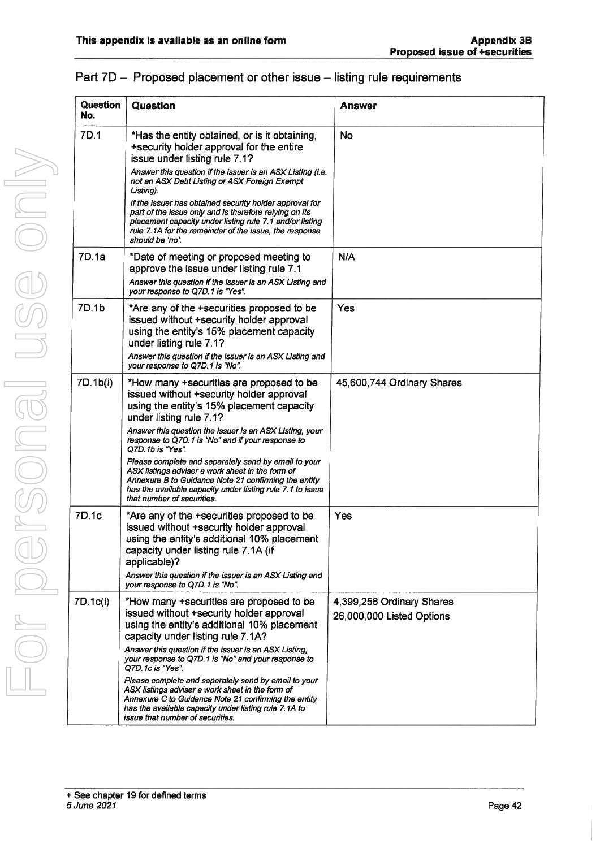| <b>Question</b><br>No. | <b>Question</b>                                                                                                                                                                                                                                               | Answer                                                 |
|------------------------|---------------------------------------------------------------------------------------------------------------------------------------------------------------------------------------------------------------------------------------------------------------|--------------------------------------------------------|
| 7D.1                   | *Has the entity obtained, or is it obtaining,<br>+security holder approval for the entire<br>issue under listing rule 7.1?                                                                                                                                    | <b>No</b>                                              |
|                        | Answer this question if the issuer is an ASX Listing (i.e.<br>not an ASX Debt Listing or ASX Foreign Exempt<br>Listing).                                                                                                                                      |                                                        |
|                        | If the issuer has obtained security holder approval for<br>part of the issue only and is therefore relying on its<br>placement capacity under listing rule 7.1 and/or listing<br>rule 7.1A for the remainder of the issue, the response<br>should be 'no'.    |                                                        |
| 7D.1a                  | *Date of meeting or proposed meeting to<br>approve the issue under listing rule 7.1<br>Answer this question if the issuer is an ASX Listing and<br>your response to Q7D.1 is "Yes".                                                                           | N/A                                                    |
| 7D.1b                  | *Are any of the +securities proposed to be<br>issued without +security holder approval<br>using the entity's 15% placement capacity<br>under listing rule 7.1?<br>Answer this question if the issuer is an ASX Listing and                                    | Yes                                                    |
|                        | your response to Q7D.1 is "No".                                                                                                                                                                                                                               |                                                        |
| 7D.1b(i)               | *How many +securities are proposed to be<br>issued without +security holder approval<br>using the entity's 15% placement capacity<br>under listing rule 7.1?                                                                                                  | 45,600,744 Ordinary Shares                             |
|                        | Answer this question the issuer is an ASX Listing, your<br>response to Q7D.1 is "No" and if your response to<br>Q7D.1b is "Yes".                                                                                                                              |                                                        |
|                        | Please complete and separately send by email to your<br>ASX listings adviser a work sheet in the form of<br>Annexure B to Guidance Note 21 confirming the entity<br>has the available capacity under listing rule 7.1 to issue<br>that number of securities.  |                                                        |
| 7D.1c                  | *Are any of the +securities proposed to be<br>issued without +security holder approval<br>using the entity's additional 10% placement<br>capacity under listing rule 7.1A (if<br>applicable)?                                                                 | Yes                                                    |
|                        | Answer this question if the issuer is an ASX Listing and<br>your response to Q7D.1 is "No".                                                                                                                                                                   |                                                        |
| 7D.1c(i)               | *How many +securities are proposed to be<br>issued without +security holder approval<br>using the entity's additional 10% placement<br>capacity under listing rule 7.1A?                                                                                      | 4,399,256 Ordinary Shares<br>26,000,000 Listed Options |
|                        | Answer this question if the issuer is an ASX Listing,<br>your response to Q7D.1 is "No" and your response to<br>Q7D.1c is "Yes".                                                                                                                              |                                                        |
|                        | Please complete and separately send by email to your<br>ASX listings adviser a work sheet in the form of<br>Annexure C to Guidance Note 21 confirming the entity<br>has the available capacity under listing rule 7.1A to<br>issue that number of securities. |                                                        |

#### Part 7D - Proposed placement or other issue - listing rule requirements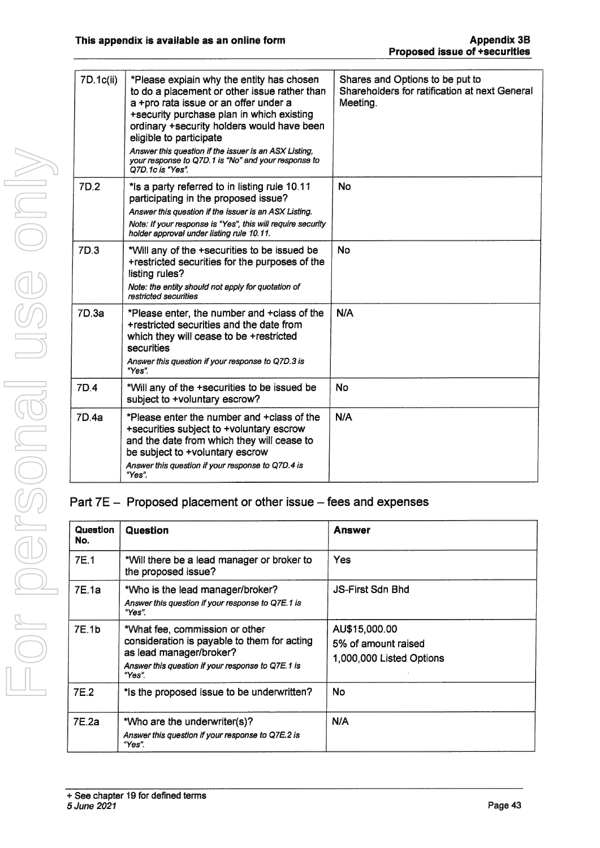| 7D.1c(ii) | *Please explain why the entity has chosen<br>to do a placement or other issue rather than<br>a +pro rata issue or an offer under a<br>+security purchase plan in which existing<br>ordinary +security holders would have been<br>eligible to participate<br>Answer this question if the issuer is an ASX Listing,<br>your response to Q7D.1 is "No" and your response to<br>O7D 1c is "Yes". | Shares and Options to be put to<br>Shareholders for ratification at next General<br>Meeting. |
|-----------|----------------------------------------------------------------------------------------------------------------------------------------------------------------------------------------------------------------------------------------------------------------------------------------------------------------------------------------------------------------------------------------------|----------------------------------------------------------------------------------------------|
| 7D.2      | * is a party referred to in listing rule 10.11<br>participating in the proposed issue?<br>Answer this question if the issuer is an ASX Listing.<br>Note: If your response is "Yes", this will require security<br>holder approval under listing rule 10.11.                                                                                                                                  | <b>No</b>                                                                                    |
| 7D 3      | *Will any of the +securities to be issued be<br>+restricted securities for the purposes of the<br>listing rules?<br>Note: the entity should not apply for quotation of<br>restricted securities                                                                                                                                                                                              | No                                                                                           |
| 7D.3a     | *Please enter, the number and +class of the<br>+restricted securities and the date from<br>which they will cease to be +restricted<br>securities<br>Answer this question if your response to Q7D.3 is<br>"Yes"                                                                                                                                                                               | N/A                                                                                          |
| 7D.4      | *Will any of the +securities to be issued be<br>subject to +voluntary escrow?                                                                                                                                                                                                                                                                                                                | <b>No</b>                                                                                    |
| 7D.4a     | *Please enter the number and +class of the<br>+securities subject to +voluntary escrow<br>and the date from which they will cease to<br>be subject to +voluntary escrow<br>Answer this question if your response to Q7D.4 is<br>"Yes"                                                                                                                                                        | N/A                                                                                          |

### Part  $7E -$  Proposed placement or other issue  $-$  fees and expenses

| Question<br>No. | Question                                                                                                                                                                | <b>Answer</b>                                                    |
|-----------------|-------------------------------------------------------------------------------------------------------------------------------------------------------------------------|------------------------------------------------------------------|
| <b>7E.1</b>     | *Will there be a lead manager or broker to<br>the proposed issue?                                                                                                       | <b>Yes</b>                                                       |
| 7E 1a           | *Who is the lead manager/broker?<br>Answer this question if your response to Q7E.1 is<br>"Yes".                                                                         | <b>JS-First Sdn Bhd</b>                                          |
| 7E.1b           | *What fee, commission or other<br>consideration is payable to them for acting<br>as lead manager/broker?<br>Answer this question if your response to Q7E.1 is<br>"Yes". | AU\$15,000.00<br>5% of amount raised<br>1,000,000 Listed Options |
| 7E.2            | * Is the proposed issue to be underwritten?                                                                                                                             | No                                                               |
| 7E.2a           | *Who are the underwriter(s)?<br>Answer this question if your response to Q7E.2 is<br>"Yes".                                                                             | N/A                                                              |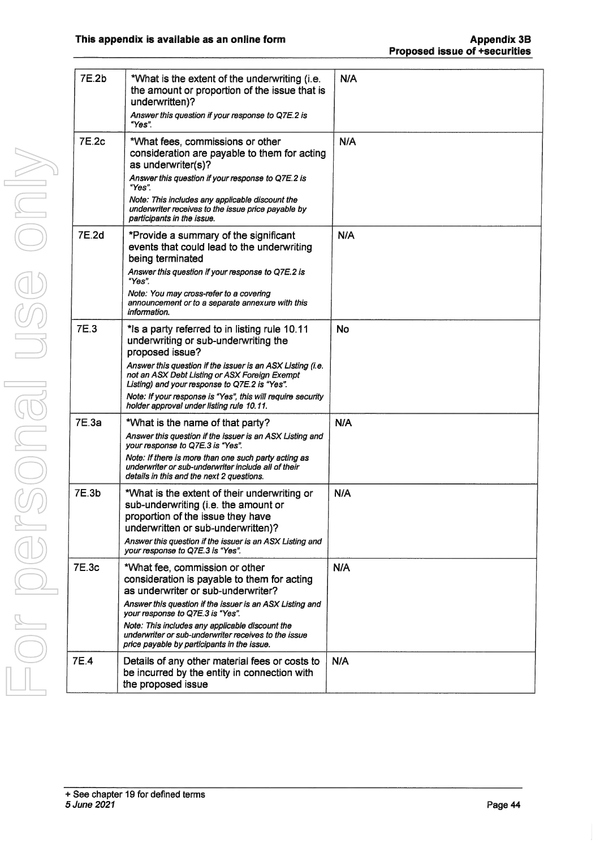| 7E.2b | *What is the extent of the underwriting (i.e.<br>the amount or proportion of the issue that is<br>underwritten)?<br>Answer this question if your response to Q7E.2 is<br>"Yes".                                                                                                                                                                                                      | N/A |
|-------|--------------------------------------------------------------------------------------------------------------------------------------------------------------------------------------------------------------------------------------------------------------------------------------------------------------------------------------------------------------------------------------|-----|
| 7E.2c | *What fees, commissions or other<br>consideration are payable to them for acting<br>as underwriter(s)?<br>Answer this question if your response to Q7E.2 is<br>"Yes"<br>Note: This includes any applicable discount the<br>underwriter receives to the issue price payable by<br>participants in the issue.                                                                          | N/A |
| 7E.2d | *Provide a summary of the significant<br>events that could lead to the underwriting<br>being terminated<br>Answer this question if your response to Q7E.2 is<br>"Yes".<br>Note: You may cross-refer to a covering<br>announcement or to a separate annexure with this<br>information.                                                                                                | N/A |
| 7E.3  | *Is a party referred to in listing rule 10.11<br>underwriting or sub-underwriting the<br>proposed issue?<br>Answer this question if the issuer is an ASX Listing (i.e.<br>not an ASX Debt Listing or ASX Foreign Exempt<br>Listing) and your response to Q7E.2 is "Yes".<br>Note: If your response is "Yes", this will require security<br>holder approval under listing rule 10.11. | No  |
| 7E.3a | *What is the name of that party?<br>Answer this question if the issuer is an ASX Listing and<br>your response to Q7E.3 is "Yes".<br>Note: If there is more than one such party acting as<br>underwriter or sub-underwriter include all of their<br>details in this and the next 2 questions.                                                                                         | N/A |
| 7E.3b | *What is the extent of their underwriting or<br>sub-underwriting (i.e. the amount or<br>proportion of the issue they have<br>underwritten or sub-underwritten)?<br>Answer this question if the issuer is an ASX Listing and<br>your response to Q7E.3 is "Yes".                                                                                                                      | N/A |
| 7E.3c | *What fee, commission or other<br>consideration is payable to them for acting<br>as underwriter or sub-underwriter?<br>Answer this question if the issuer is an ASX Listing and<br>your response to Q7E.3 is "Yes".<br>Note: This includes any applicable discount the<br>underwriter or sub-underwriter receives to the issue<br>price payable by participants in the issue.        | N/A |
| 7E.4  | Details of any other material fees or costs to<br>be incurred by the entity in connection with<br>the proposed issue                                                                                                                                                                                                                                                                 | N/A |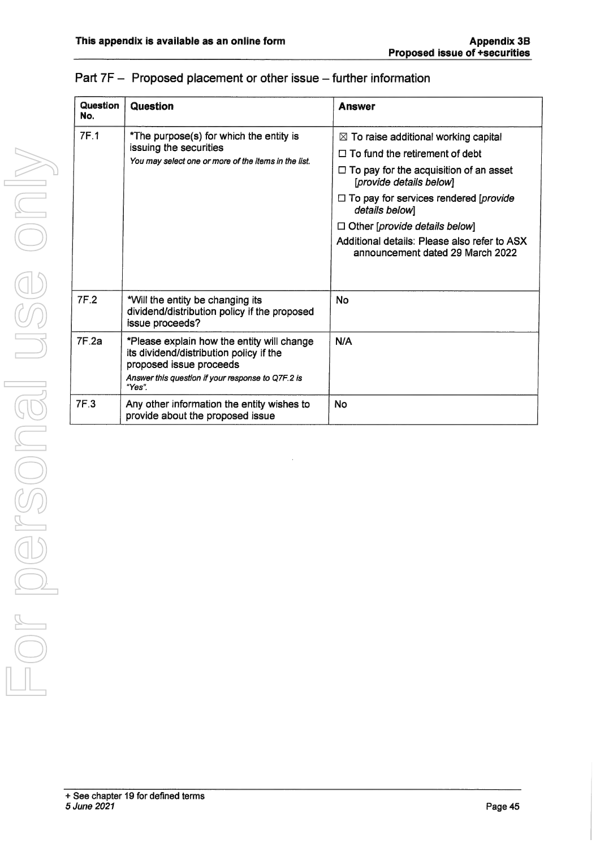| Question<br>No. | Question                                                                                                                                                                        | <b>Answer</b>                                                                                                                                                                                                                                                                                                                                                       |
|-----------------|---------------------------------------------------------------------------------------------------------------------------------------------------------------------------------|---------------------------------------------------------------------------------------------------------------------------------------------------------------------------------------------------------------------------------------------------------------------------------------------------------------------------------------------------------------------|
| <b>7F.1</b>     | *The purpose(s) for which the entity is<br>issuing the securities<br>You may select one or more of the items in the list.                                                       | $\boxtimes$ To raise additional working capital<br>$\Box$ To fund the retirement of debt<br>$\Box$ To pay for the acquisition of an asset<br>[provide details below]<br>$\Box$ To pay for services rendered [provide]<br>details below]<br>$\Box$ Other [provide details below]<br>Additional details: Please also refer to ASX<br>announcement dated 29 March 2022 |
| 7F.2            | *Will the entity be changing its<br>dividend/distribution policy if the proposed<br>issue proceeds?                                                                             | <b>No</b>                                                                                                                                                                                                                                                                                                                                                           |
| 7F2a            | *Please explain how the entity will change<br>its dividend/distribution policy if the<br>proposed issue proceeds<br>Answer this question if your response to Q7F.2 is<br>"Yes". | N/A                                                                                                                                                                                                                                                                                                                                                                 |
| 7F.3            | Any other information the entity wishes to<br>provide about the proposed issue                                                                                                  | No                                                                                                                                                                                                                                                                                                                                                                  |

### Part 7F - Proposed placement or other issue - further information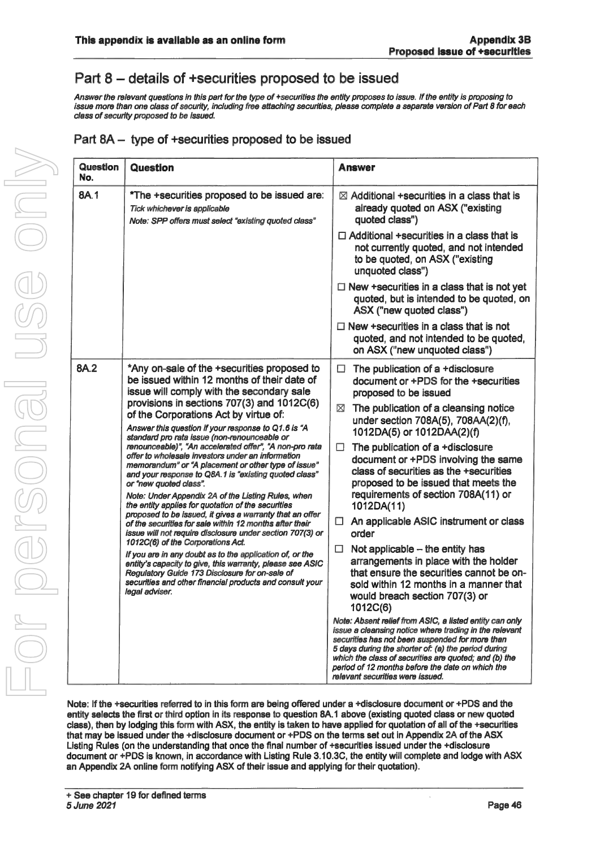## Part 8 – details of +securities proposed to be issued

Answer the relevant questions in this part for the type of +securities the entity proposes to issue. If the entity is proposing to issue more than one class of security, including free attaching securities, please complete a separate version of Part 8 for each class of security proposed to be issued.

| Part 8A – type of +securities proposed to be issued |  |  |
|-----------------------------------------------------|--|--|

| <b>Question</b><br>No.                                                         | Question                                                                                                                                                                                                                                                                                                                                                                                                                                                                                                                                                                                   | <b>Answer</b>                                                                                                                                                                                                                                                                                                                                                                |
|--------------------------------------------------------------------------------|--------------------------------------------------------------------------------------------------------------------------------------------------------------------------------------------------------------------------------------------------------------------------------------------------------------------------------------------------------------------------------------------------------------------------------------------------------------------------------------------------------------------------------------------------------------------------------------------|------------------------------------------------------------------------------------------------------------------------------------------------------------------------------------------------------------------------------------------------------------------------------------------------------------------------------------------------------------------------------|
| 8A.1                                                                           | *The +securities proposed to be issued are:<br>Tick whichever is applicable<br>Note: SPP offers must select "existing quoted class"                                                                                                                                                                                                                                                                                                                                                                                                                                                        | $\boxtimes$ Additional +securities in a class that is<br>already quoted on ASX ("existing<br>quoted class")                                                                                                                                                                                                                                                                  |
|                                                                                |                                                                                                                                                                                                                                                                                                                                                                                                                                                                                                                                                                                            | $\Box$ Additional +securities in a class that is<br>not currently quoted, and not intended<br>to be quoted, on ASX ("existing<br>unquoted class")                                                                                                                                                                                                                            |
|                                                                                |                                                                                                                                                                                                                                                                                                                                                                                                                                                                                                                                                                                            | $\Box$ New +securities in a class that is not yet<br>quoted, but is intended to be quoted, on<br>ASX ("new quoted class")                                                                                                                                                                                                                                                    |
|                                                                                |                                                                                                                                                                                                                                                                                                                                                                                                                                                                                                                                                                                            | $\Box$ New +securities in a class that is not<br>quoted, and not intended to be quoted,<br>on ASX ("new unquoted class")                                                                                                                                                                                                                                                     |
| 8A.2<br>standard pro rata issue (non-renounceable or<br>or "new quoted class". | *Any on-sale of the +securities proposed to<br>be issued within 12 months of their date of<br>issue will comply with the secondary sale<br>provisions in sections 707(3) and 1012C(6)                                                                                                                                                                                                                                                                                                                                                                                                      | The publication of a +disclosure<br>□<br>document or +PDS for the +securities<br>proposed to be issued                                                                                                                                                                                                                                                                       |
|                                                                                | of the Corporations Act by virtue of:<br>Answer this question if your response to Q1.6 is "A                                                                                                                                                                                                                                                                                                                                                                                                                                                                                               | The publication of a cleansing notice<br>⊠<br>under section 708A(5), 708AA(2)(f),<br>1012DA(5) or 1012DAA(2)(f)                                                                                                                                                                                                                                                              |
|                                                                                | renounceable)", "An accelerated offer", "A non-pro rata<br>offer to wholesale investors under an information<br>memorandum" or "A placement or other type of issue"<br>and your response to Q8A.1 is "existing quoted class"                                                                                                                                                                                                                                                                                                                                                               | The publication of a +disclosure<br>□<br>document or +PDS involving the same<br>class of securities as the +securities<br>proposed to be issued that meets the                                                                                                                                                                                                               |
|                                                                                | Note: Under Appendix 2A of the Listing Rules, when<br>the entity applies for quotation of the securities<br>proposed to be issued, it gives a warranty that an offer<br>of the securities for sale within 12 months after their<br>issue will not require disclosure under section 707(3) or<br>1012C(6) of the Corporations Act.<br>If you are in any doubt as to the application of, or the<br>entity's capacity to give, this warranty, please see ASIC<br>Regulatory Guide 173 Disclosure for on-sale of<br>securities and other financial products and consult your<br>legal adviser. | requirements of section 708A(11) or<br>1012DA(11)                                                                                                                                                                                                                                                                                                                            |
|                                                                                |                                                                                                                                                                                                                                                                                                                                                                                                                                                                                                                                                                                            | An applicable ASIC instrument or class<br>$\Box$<br>order                                                                                                                                                                                                                                                                                                                    |
|                                                                                |                                                                                                                                                                                                                                                                                                                                                                                                                                                                                                                                                                                            | $\Box$<br>Not applicable $-$ the entity has<br>arrangements in place with the holder<br>that ensure the securities cannot be on-<br>sold within 12 months in a manner that<br>would breach section 707(3) or<br>1012C(6)                                                                                                                                                     |
|                                                                                |                                                                                                                                                                                                                                                                                                                                                                                                                                                                                                                                                                                            | Note: Absent relief from ASIC, a listed entity can only<br>issue a cleansing notice where trading in the relevant<br>securities has not been suspended for more than<br>5 days during the shorter of: (a) the period during<br>which the class of securities are quoted: and (b) the<br>period of 12 months before the date on which the<br>relevant securities were issued. |

Note: If the +securities referred to in this form are being offered under a +disclosure document or +PDS and the entity selects the first or third option in its response to question 8A. <sup>1</sup> above (existing quoted class or new quoted class), then by lodging this form with ASX, the entity is taken to have applied for quotation of all of the +securities that may be issued under the +disclosure document or +PDS on the terms set out in Appendix 2A of the ASX Listing Rules (on the understanding that once the final number of +securities issued under the +disclosure document or +PDS is known, in accordance with Listing Rule 3.10.3C, the entity will complete and lodge with ASX an Appendix 2A online form notifying ASX of their issue and applying for their quotation).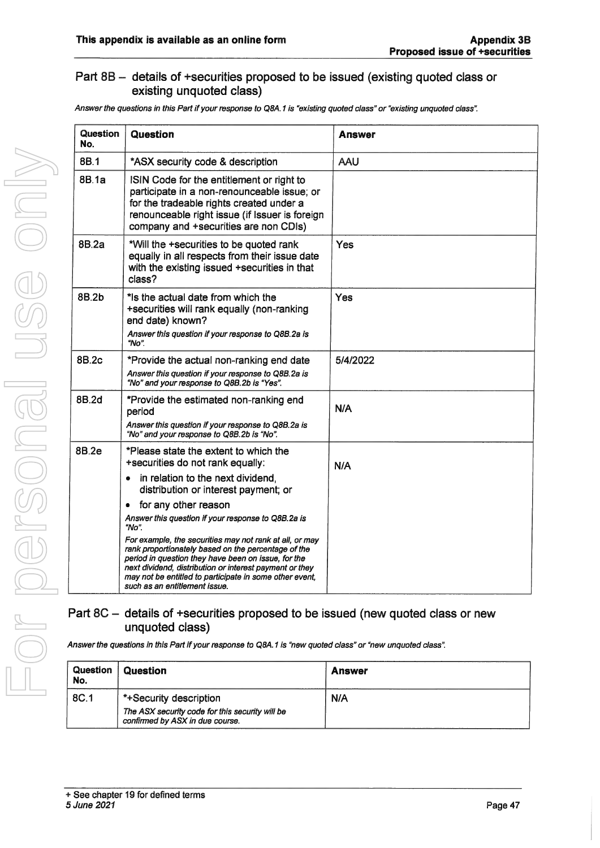#### Part  $8B -$  details of +securities proposed to be issued (existing quoted class or existing unquoted class)

Answer the questions in this Part if your response to Q8A.1 is "existing quoted class" or "existing unquoted class".

| Question<br>No. | Question                                                                                                                                                                                                                                                                                                                                                                                                                                                                                                                                                                                        | <b>Answer</b> |
|-----------------|-------------------------------------------------------------------------------------------------------------------------------------------------------------------------------------------------------------------------------------------------------------------------------------------------------------------------------------------------------------------------------------------------------------------------------------------------------------------------------------------------------------------------------------------------------------------------------------------------|---------------|
| 8B.1            | *ASX security code & description                                                                                                                                                                                                                                                                                                                                                                                                                                                                                                                                                                | <b>AAU</b>    |
| 8B.1a           | ISIN Code for the entitlement or right to<br>participate in a non-renounceable issue; or<br>for the tradeable rights created under a<br>renounceable right issue (if Issuer is foreign<br>company and +securities are non CDIs)                                                                                                                                                                                                                                                                                                                                                                 |               |
| 8B.2a           | *Will the +securities to be quoted rank<br>equally in all respects from their issue date<br>with the existing issued +securities in that<br>class?                                                                                                                                                                                                                                                                                                                                                                                                                                              | Yes           |
| 8B.2b           | *Is the actual date from which the<br>+securities will rank equally (non-ranking<br>end date) known?<br>Answer this question if your response to Q8B.2a is<br>" $No$ ".                                                                                                                                                                                                                                                                                                                                                                                                                         | Yes           |
| 8B.2c           | *Provide the actual non-ranking end date<br>Answer this question if your response to Q8B.2a is<br>"No" and your response to Q8B.2b is "Yes".                                                                                                                                                                                                                                                                                                                                                                                                                                                    | 5/4/2022      |
| 8B.2d           | *Provide the estimated non-ranking end<br>period<br>Answer this question if your response to Q8B.2a is<br>"No" and your response to Q8B.2b is "No".                                                                                                                                                                                                                                                                                                                                                                                                                                             | N/A           |
| 8B.2e           | *Please state the extent to which the<br>+securities do not rank equally:<br>in relation to the next dividend.<br>۰<br>distribution or interest payment; or<br>for any other reason<br>$\bullet$<br>Answer this question if your response to Q8B.2a is<br>"No".<br>For example, the securities may not rank at all, or may<br>rank proportionately based on the percentage of the<br>period in question they have been on issue, for the<br>next dividend, distribution or interest payment or they<br>may not be entitled to participate in some other event,<br>such as an entitlement issue. | N/A           |

### Part  $8C -$  details of +securities proposed to be issued (new quoted class or new unquoted class)

Answer the questions in this Part if your response to Q8A.1 is "new quoted class" or "new unquoted class".

| Question<br>No. | Question                                                                                                     | <b>Answer</b> |
|-----------------|--------------------------------------------------------------------------------------------------------------|---------------|
| 8C.1            | *+Security description<br>The ASX security code for this security will be<br>confirmed by ASX in due course. | N/A           |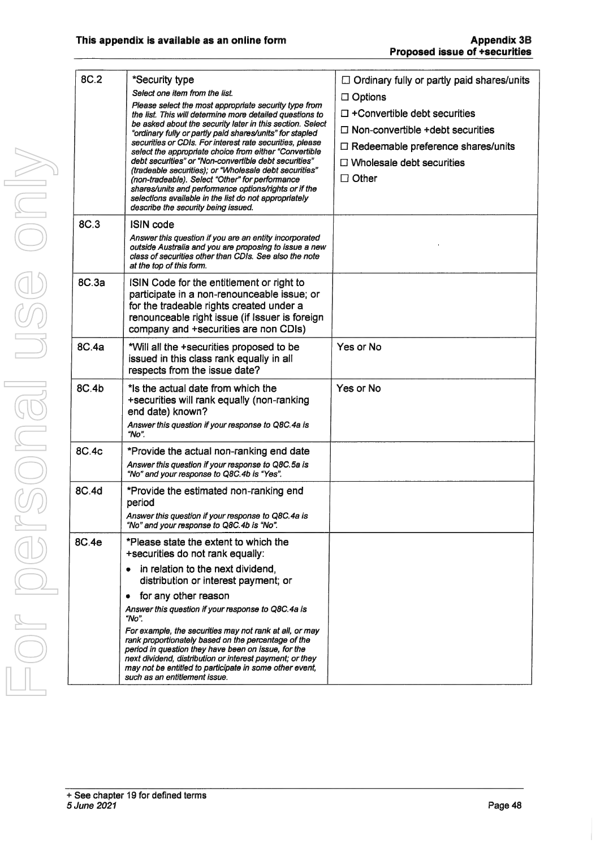| 8C.2  | *Security type<br>Select one item from the list.<br>Please select the most appropriate security type from<br>the list. This will determine more detailed questions to<br>be asked about the security later in this section. Select<br>"ordinary fully or partly paid shares/units" for stapled<br>securities or CDIs. For interest rate securities, please<br>select the appropriate choice from either "Convertible<br>debt securities" or "Non-convertible debt securities"<br>(tradeable securities); or "Wholesale debt securities"<br>(non-tradeable). Select "Other" for performance<br>shares/units and performance options/rights or if the<br>selections available in the list do not appropriately<br>describe the security being issued. | $\Box$ Ordinary fully or partly paid shares/units<br>$\Box$ Options<br>$\Box$ +Convertible debt securities<br>$\Box$ Non-convertible +debt securities<br>$\Box$ Redeemable preference shares/units<br>$\Box$ Wholesale debt securities<br>$\Box$ Other |
|-------|-----------------------------------------------------------------------------------------------------------------------------------------------------------------------------------------------------------------------------------------------------------------------------------------------------------------------------------------------------------------------------------------------------------------------------------------------------------------------------------------------------------------------------------------------------------------------------------------------------------------------------------------------------------------------------------------------------------------------------------------------------|--------------------------------------------------------------------------------------------------------------------------------------------------------------------------------------------------------------------------------------------------------|
| 8C.3  | <b>ISIN code</b><br>Answer this question if you are an entity incorporated<br>outside Australia and you are proposing to issue a new<br>class of securities other than CDIs. See also the note<br>at the top of this form.                                                                                                                                                                                                                                                                                                                                                                                                                                                                                                                          |                                                                                                                                                                                                                                                        |
| 8C.3a | ISIN Code for the entitlement or right to<br>participate in a non-renounceable issue; or<br>for the tradeable rights created under a<br>renounceable right issue (if Issuer is foreign<br>company and +securities are non CDIs)                                                                                                                                                                                                                                                                                                                                                                                                                                                                                                                     |                                                                                                                                                                                                                                                        |
| 8C.4a | *Will all the +securities proposed to be<br>issued in this class rank equally in all<br>respects from the issue date?                                                                                                                                                                                                                                                                                                                                                                                                                                                                                                                                                                                                                               | Yes or No                                                                                                                                                                                                                                              |
| 8C.4b | *Is the actual date from which the<br>+securities will rank equally (non-ranking<br>end date) known?<br>Answer this question if your response to Q8C.4a is<br>"No".                                                                                                                                                                                                                                                                                                                                                                                                                                                                                                                                                                                 | Yes or No                                                                                                                                                                                                                                              |
| 8C.4c | *Provide the actual non-ranking end date<br>Answer this question if your response to Q8C.5a is<br>"No" and your response to Q8C.4b is "Yes".                                                                                                                                                                                                                                                                                                                                                                                                                                                                                                                                                                                                        |                                                                                                                                                                                                                                                        |
| 8C.4d | *Provide the estimated non-ranking end<br>period<br>Answer this question if your response to Q8C.4a is<br>"No" and your response to Q8C.4b is "No".                                                                                                                                                                                                                                                                                                                                                                                                                                                                                                                                                                                                 |                                                                                                                                                                                                                                                        |
| 8C.4e | *Please state the extent to which the<br>+securities do not rank equally:<br>in relation to the next dividend,<br>distribution or interest payment; or<br>for any other reason<br>$\bullet$<br>Answer this question if your response to Q8C.4a is<br>"No".<br>For example, the securities may not rank at all, or may<br>rank proportionately based on the percentage of the                                                                                                                                                                                                                                                                                                                                                                        |                                                                                                                                                                                                                                                        |
|       | period in question they have been on issue, for the<br>next dividend, distribution or interest payment; or they<br>may not be entitled to participate in some other event,<br>such as an entitlement issue.                                                                                                                                                                                                                                                                                                                                                                                                                                                                                                                                         |                                                                                                                                                                                                                                                        |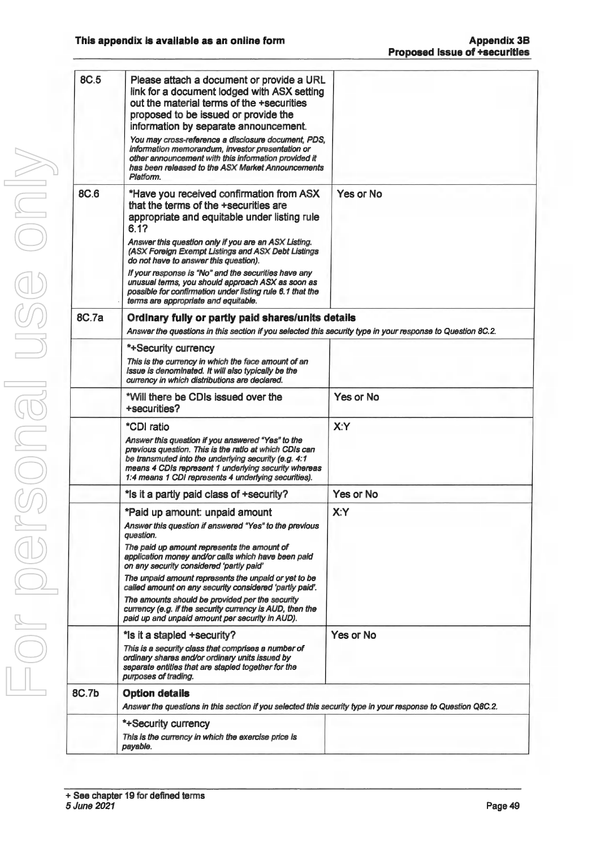| <b>8C.5</b> | Please attach a document or provide a URL<br>link for a document lodged with ASX setting<br>out the material terms of the +securities<br>proposed to be issued or provide the<br>information by separate announcement.<br>You may cross-reference a disclosure document, PDS,<br>information memorandum, investor presentation or<br>other announcement with this information provided it<br>has been released to the ASX Market Announcements<br>Platform. |           |  |
|-------------|-------------------------------------------------------------------------------------------------------------------------------------------------------------------------------------------------------------------------------------------------------------------------------------------------------------------------------------------------------------------------------------------------------------------------------------------------------------|-----------|--|
| 8C.6        | *Have you received confirmation from ASX<br>that the terms of the +securities are<br>appropriate and equitable under listing rule<br>6.17<br>Answer this question only if you are an ASX Listing.<br>(ASX Foreign Exempt Listings and ASX Debt Listings<br>do not have to answer this question).<br>If your response is "No" and the securities have any<br>unusual terms, you should approach ASX as soon as                                               | Yes or No |  |
|             | possible for confirmation under listing rule 6.1 that the<br>terms are appropriate and equitable.                                                                                                                                                                                                                                                                                                                                                           |           |  |
| 8C.7a       | Ordinary fully or partly paid shares/units details<br>Answer the questions in this section if you selected this security type in your response to Question 8C.2.                                                                                                                                                                                                                                                                                            |           |  |
|             | *+Security currency                                                                                                                                                                                                                                                                                                                                                                                                                                         |           |  |
|             | This is the currency in which the face amount of an<br>issue is denominated. It will also typically be the<br>currency in which distributions are declared.                                                                                                                                                                                                                                                                                                 |           |  |
|             | *Will there be CDIs issued over the<br>+securities?                                                                                                                                                                                                                                                                                                                                                                                                         | Yes or No |  |
|             | *CDI ratio<br>Answer this question if you answered "Yes" to the<br>previous question. This is the ratio at which CDIs can<br>be transmuted into the underlying security (e.g. 4:1<br>means 4 CDIs represent 1 underlying security whereas<br>1:4 means 1 CDI represents 4 underlying securities).                                                                                                                                                           | X:Y       |  |
|             | * is it a partly paid class of + security?                                                                                                                                                                                                                                                                                                                                                                                                                  | Yes or No |  |
|             | *Paid up amount: unpaid amount<br>Answer this question if answered "Yes" to the previous<br>auestion.<br>The paid up amount represents the amount of<br>application money and/or calls which have been paid                                                                                                                                                                                                                                                 | X:Y       |  |
|             | on any security considered 'partly paid'<br>The unpaid amount represents the unpaid or yet to be<br>called amount on any security considered 'partly paid'.                                                                                                                                                                                                                                                                                                 |           |  |
|             | The amounts should be provided per the security<br>currency (e.g. if the security currency is AUD, then the<br>paid up and unpaid amount per security in AUD).                                                                                                                                                                                                                                                                                              |           |  |
|             | *Is it a stapled +security?                                                                                                                                                                                                                                                                                                                                                                                                                                 | Yes or No |  |
|             | This is a security class that comprises a number of<br>ordinary shares and/or ordinary units issued by<br>separate entities that are stapled together for the<br>purposes of trading.                                                                                                                                                                                                                                                                       |           |  |
| 8C.7b       | <b>Option details</b>                                                                                                                                                                                                                                                                                                                                                                                                                                       |           |  |
|             | Answer the questions in this section if you selected this security type in your response to Question Q8C.2.                                                                                                                                                                                                                                                                                                                                                 |           |  |
|             | *+Security currency                                                                                                                                                                                                                                                                                                                                                                                                                                         |           |  |
|             | This is the currency in which the exercise price is<br>payable.                                                                                                                                                                                                                                                                                                                                                                                             |           |  |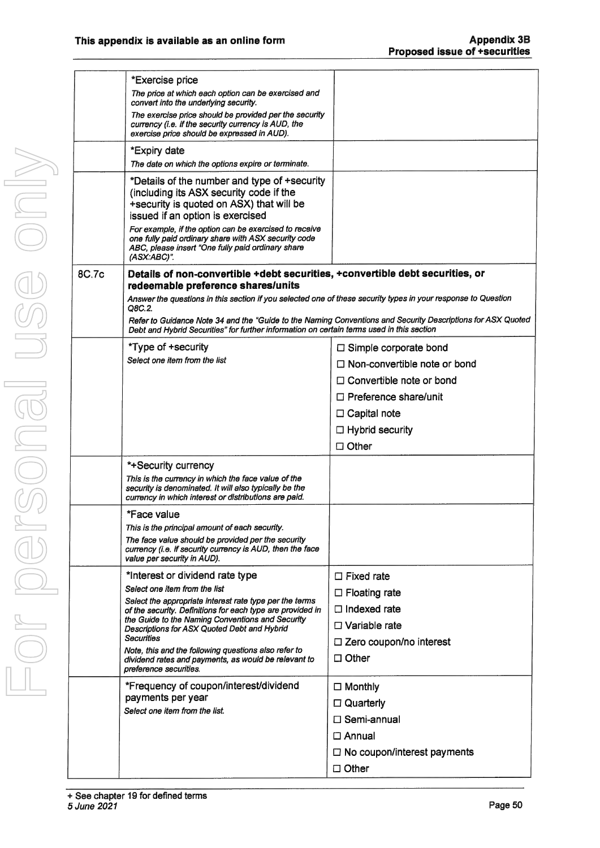|       | *Exercise price                                                                                                                                                                                                                   |                                                                                                             |
|-------|-----------------------------------------------------------------------------------------------------------------------------------------------------------------------------------------------------------------------------------|-------------------------------------------------------------------------------------------------------------|
|       | The price at which each option can be exercised and<br>convert into the underlying security.                                                                                                                                      |                                                                                                             |
|       | The exercise price should be provided per the security<br>currency (i.e. if the security currency is AUD, the<br>exercise price should be expressed in AUD).                                                                      |                                                                                                             |
|       | *Expiry date                                                                                                                                                                                                                      |                                                                                                             |
|       | The date on which the options expire or terminate.                                                                                                                                                                                |                                                                                                             |
|       | *Details of the number and type of +security<br>(including its ASX security code if the<br>+security is quoted on ASX) that will be<br>issued if an option is exercised<br>For example, if the option can be exercised to receive |                                                                                                             |
|       | one fully paid ordinary share with ASX security code<br>ABC, please insert "One fully paid ordinary share<br>(ASX:ABC)".                                                                                                          |                                                                                                             |
| 8C.7c | Details of non-convertible +debt securities, +convertible debt securities, or<br>redeemable preference shares/units                                                                                                               |                                                                                                             |
|       | Answer the questions in this section if you selected one of these security types in your response to Question<br>Q8C.2.                                                                                                           |                                                                                                             |
|       | Debt and Hybrid Securities" for further information on certain terms used in this section                                                                                                                                         | Refer to Guidance Note 34 and the "Guide to the Naming Conventions and Security Descriptions for ASX Quoted |
|       | *Type of +security                                                                                                                                                                                                                | $\Box$ Simple corporate bond                                                                                |
|       | Select one item from the list                                                                                                                                                                                                     | $\Box$ Non-convertible note or bond                                                                         |
|       |                                                                                                                                                                                                                                   | $\Box$ Convertible note or bond                                                                             |
|       |                                                                                                                                                                                                                                   | $\Box$ Preference share/unit                                                                                |
|       |                                                                                                                                                                                                                                   | $\Box$ Capital note                                                                                         |
|       |                                                                                                                                                                                                                                   | $\Box$ Hybrid security                                                                                      |
|       |                                                                                                                                                                                                                                   | $\Box$ Other                                                                                                |
|       | *+Security currency                                                                                                                                                                                                               |                                                                                                             |
|       | This is the currency in which the face value of the<br>security is denominated. It will also typically be the<br>currency in which interest or distributions are paid.                                                            |                                                                                                             |
|       | *Face value                                                                                                                                                                                                                       |                                                                                                             |
|       | This is the principal amount of each security.                                                                                                                                                                                    |                                                                                                             |
|       | The face value should be provided per the security<br>currency (i.e. if security currency is AUD, then the face<br>value per security in AUD).                                                                                    |                                                                                                             |
|       | *Interest or dividend rate type                                                                                                                                                                                                   | $\Box$ Fixed rate                                                                                           |
|       | Select one item from the list                                                                                                                                                                                                     | $\Box$ Floating rate                                                                                        |
|       | Select the appropriate interest rate type per the terms<br>of the security. Definitions for each type are provided in                                                                                                             | $\Box$ Indexed rate                                                                                         |
|       | the Guide to the Naming Conventions and Security<br>Descriptions for ASX Quoted Debt and Hybrid                                                                                                                                   | $\Box$ Variable rate                                                                                        |
|       | <b>Securities</b>                                                                                                                                                                                                                 | $\Box$ Zero coupon/no interest                                                                              |
|       | Note, this and the following questions also refer to<br>dividend rates and payments, as would be relevant to<br>preference securities.                                                                                            | $\Box$ Other                                                                                                |
|       | *Frequency of coupon/interest/dividend                                                                                                                                                                                            | $\Box$ Monthly                                                                                              |
|       | payments per year                                                                                                                                                                                                                 | $\Box$ Quarterly                                                                                            |
|       | Select one item from the list.                                                                                                                                                                                                    | □ Semi-annual                                                                                               |
|       |                                                                                                                                                                                                                                   | $\Box$ Annual                                                                                               |
|       |                                                                                                                                                                                                                                   | $\Box$ No coupon/interest payments                                                                          |
|       |                                                                                                                                                                                                                                   | $\Box$ Other                                                                                                |
|       |                                                                                                                                                                                                                                   |                                                                                                             |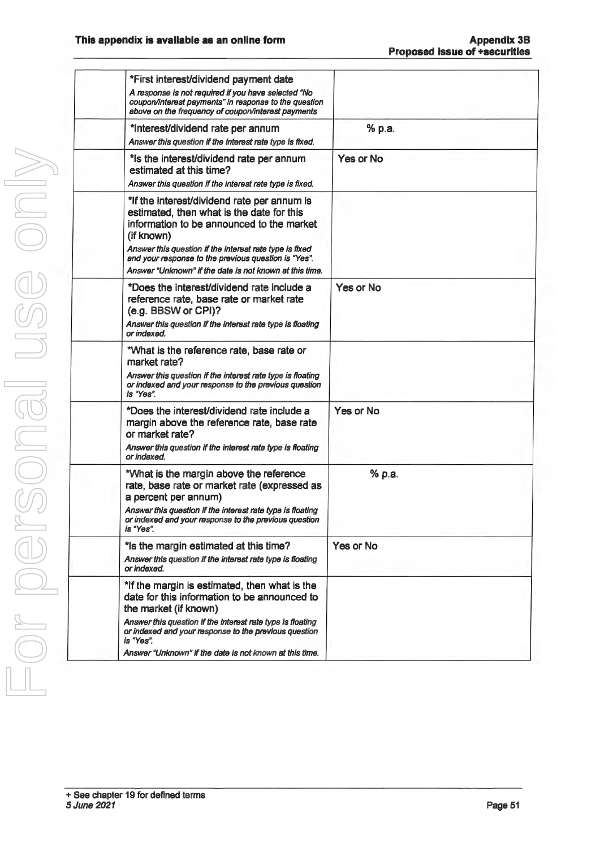| *First interest/dividend payment date<br>A response is not required if you have selected "No<br>coupon/interest payments" in response to the question                                                          |           |
|----------------------------------------------------------------------------------------------------------------------------------------------------------------------------------------------------------------|-----------|
| above on the frequency of coupon/interest payments                                                                                                                                                             |           |
| *Interest/dividend rate per annum<br>Answer this question if the interest rate type is fixed.                                                                                                                  | % p.a.    |
| *Is the interest/dividend rate per annum<br>estimated at this time?<br>Answer this question if the interest rate type is fixed.                                                                                | Yes or No |
| *If the interest/dividend rate per annum is<br>estimated, then what is the date for this<br>information to be announced to the market<br>(if known)<br>Answer this question if the interest rate type is fixed |           |
| and your response to the previous question is "Yes".<br>Answer "Unknown" if the date is not known at this time.                                                                                                |           |
| *Does the interest/dividend rate include a<br>reference rate, base rate or market rate<br>(e.g. BBSW or CPI)?<br>Answer this question if the interest rate type is floating                                    | Yes or No |
| or indexed.                                                                                                                                                                                                    |           |
| *What is the reference rate, base rate or<br>market rate?                                                                                                                                                      |           |
| Answer this question if the interest rate type is floating<br>or indexed and your response to the previous question<br>is "Yes".                                                                               |           |
| *Does the interest/dividend rate include a<br>margin above the reference rate, base rate<br>or market rate?                                                                                                    | Yes or No |
| Answer this question if the interest rate type is floating<br>or indexed.                                                                                                                                      |           |
| *What is the margin above the reference<br>rate, base rate or market rate (expressed as<br>a percent per annum)                                                                                                | % p.a.    |
| or indexed and your response to the previous question<br>is "Yes".                                                                                                                                             |           |
| *Is the margin estimated at this time?<br>Answer this question if the interest rate type is floating<br>or indexed.                                                                                            | Yes or No |
| *If the margin is estimated, then what is the<br>date for this information to be announced to<br>the market (if known)                                                                                         |           |
| Answer this question if the interest rate type is floating<br>or indexed and your response to the previous question<br>is "Yes".                                                                               |           |
| Answer "Unknown" if the date is not known at this time.                                                                                                                                                        |           |
| Answer this question if the interest rate type is floating                                                                                                                                                     |           |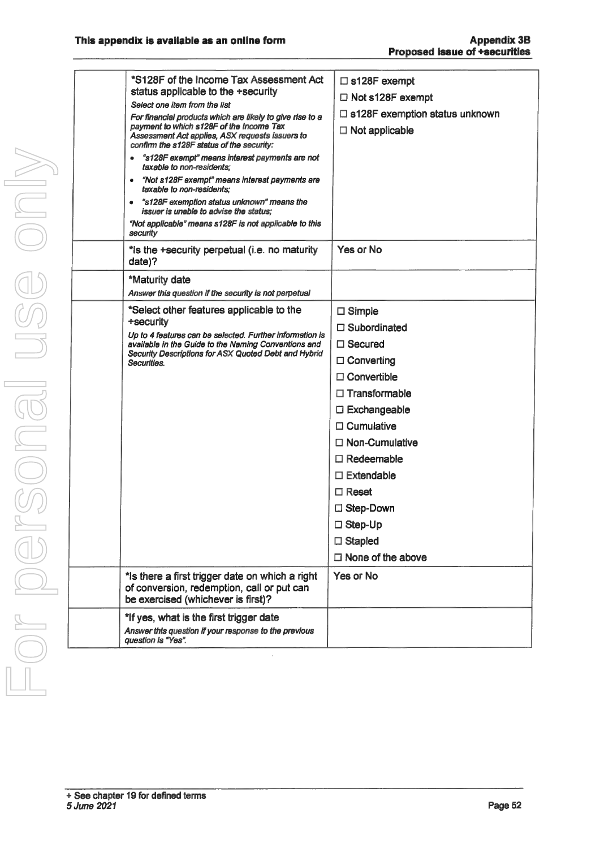For personal use only USG ONI Dr personal

| $\bullet$<br>۰<br>security | *S128F of the Income Tax Assessment Act<br>status applicable to the +security<br>Select one item from the list<br>For financial products which are likely to give rise to a<br>payment to which s128F of the Income Tax<br>Assessment Act applies, ASX requests issuers to<br>confirm the s128F status of the security:<br>"s128F exempt" means interest payments are not<br>taxable to non-residents;<br>"Not s128F exempt" means interest payments are<br>taxable to non-residents:<br>"s128F exemption status unknown" means the<br>issuer is unable to advise the status:<br>"Not applicable" means s128F is not applicable to this | $\square$ s128F exempt<br>$\Box$ Not s128F exempt<br>$\Box$ s128F exemption status unknown<br>$\Box$ Not applicable |
|----------------------------|-----------------------------------------------------------------------------------------------------------------------------------------------------------------------------------------------------------------------------------------------------------------------------------------------------------------------------------------------------------------------------------------------------------------------------------------------------------------------------------------------------------------------------------------------------------------------------------------------------------------------------------------|---------------------------------------------------------------------------------------------------------------------|
| date)?                     | *is the +security perpetual (i.e. no maturity                                                                                                                                                                                                                                                                                                                                                                                                                                                                                                                                                                                           | Yes or No                                                                                                           |
|                            | *Maturity date<br>Answer this question if the security is not perpetual                                                                                                                                                                                                                                                                                                                                                                                                                                                                                                                                                                 |                                                                                                                     |
|                            | *Select other features applicable to the                                                                                                                                                                                                                                                                                                                                                                                                                                                                                                                                                                                                | $\Box$ Simple                                                                                                       |
| +security                  |                                                                                                                                                                                                                                                                                                                                                                                                                                                                                                                                                                                                                                         | $\Box$ Subordinated                                                                                                 |
|                            | Up to 4 features can be selected. Further information is<br>available in the Guide to the Naming Conventions and                                                                                                                                                                                                                                                                                                                                                                                                                                                                                                                        | $\Box$ Secured                                                                                                      |
| Securities.                | Security Descriptions for ASX Quoted Debt and Hybrid                                                                                                                                                                                                                                                                                                                                                                                                                                                                                                                                                                                    | $\Box$ Converting                                                                                                   |
|                            |                                                                                                                                                                                                                                                                                                                                                                                                                                                                                                                                                                                                                                         | $\Box$ Convertible                                                                                                  |
|                            |                                                                                                                                                                                                                                                                                                                                                                                                                                                                                                                                                                                                                                         | $\Box$ Transformable                                                                                                |
|                            |                                                                                                                                                                                                                                                                                                                                                                                                                                                                                                                                                                                                                                         | □ Exchangeable                                                                                                      |
|                            |                                                                                                                                                                                                                                                                                                                                                                                                                                                                                                                                                                                                                                         | $\Box$ Cumulative                                                                                                   |
|                            |                                                                                                                                                                                                                                                                                                                                                                                                                                                                                                                                                                                                                                         | $\Box$ Non-Cumulative                                                                                               |
|                            |                                                                                                                                                                                                                                                                                                                                                                                                                                                                                                                                                                                                                                         | $\square$ Redeemable                                                                                                |
|                            |                                                                                                                                                                                                                                                                                                                                                                                                                                                                                                                                                                                                                                         | $\Box$ Extendable                                                                                                   |
|                            |                                                                                                                                                                                                                                                                                                                                                                                                                                                                                                                                                                                                                                         | $\Box$ Reset                                                                                                        |
|                            |                                                                                                                                                                                                                                                                                                                                                                                                                                                                                                                                                                                                                                         | □ Step-Down                                                                                                         |
|                            |                                                                                                                                                                                                                                                                                                                                                                                                                                                                                                                                                                                                                                         | □ Step-Up                                                                                                           |
|                            |                                                                                                                                                                                                                                                                                                                                                                                                                                                                                                                                                                                                                                         | $\Box$ Stapled                                                                                                      |
|                            |                                                                                                                                                                                                                                                                                                                                                                                                                                                                                                                                                                                                                                         | $\Box$ None of the above                                                                                            |
|                            | *Is there a first trigger date on which a right<br>of conversion, redemption, call or put can<br>be exercised (whichever is first)?                                                                                                                                                                                                                                                                                                                                                                                                                                                                                                     | Yes or No                                                                                                           |
|                            | *If yes, what is the first trigger date                                                                                                                                                                                                                                                                                                                                                                                                                                                                                                                                                                                                 |                                                                                                                     |
| question is "Yes".         | Answer this question if your response to the previous                                                                                                                                                                                                                                                                                                                                                                                                                                                                                                                                                                                   |                                                                                                                     |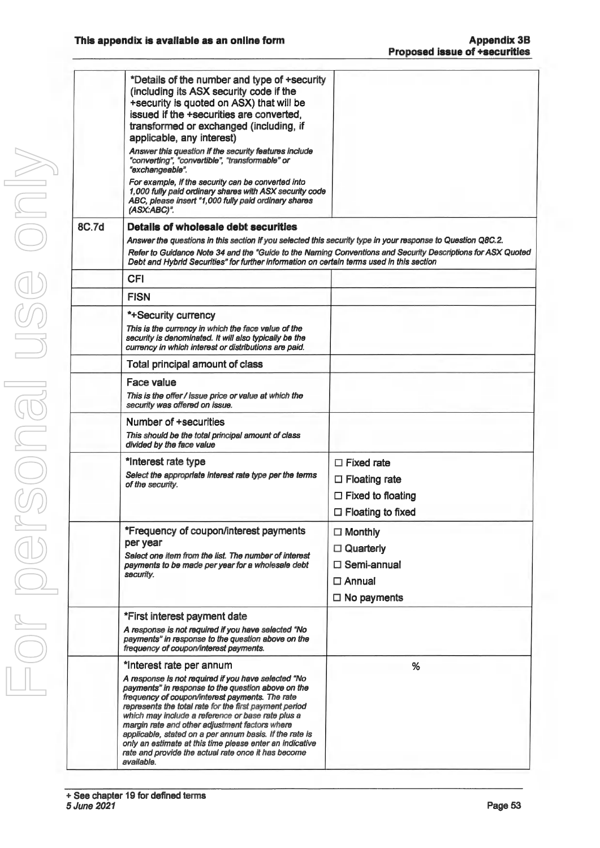|              | *Details of the number and type of +security<br>(including its ASX security code if the<br>+security is quoted on ASX) that will be<br>issued if the +securities are converted,<br>transformed or exchanged (including, if                                                                                                                                                                                                                                                                                  |                                                                                                             |
|--------------|-------------------------------------------------------------------------------------------------------------------------------------------------------------------------------------------------------------------------------------------------------------------------------------------------------------------------------------------------------------------------------------------------------------------------------------------------------------------------------------------------------------|-------------------------------------------------------------------------------------------------------------|
|              | applicable, any interest)<br>Answer this question if the security features include<br>"converting", "convertible", "transformable" or<br>"exchangeable".                                                                                                                                                                                                                                                                                                                                                    |                                                                                                             |
|              | For example, if the security can be converted into<br>1,000 fully paid ordinary shares with ASX security code<br>ABC, please insert "1,000 fully paid ordinary shares<br>(ASX:ABC)".                                                                                                                                                                                                                                                                                                                        |                                                                                                             |
| <b>8C.7d</b> | Details of wholesale debt securities                                                                                                                                                                                                                                                                                                                                                                                                                                                                        |                                                                                                             |
|              | Answer the questions in this section if you selected this security type in your response to Question Q8C.2.                                                                                                                                                                                                                                                                                                                                                                                                 |                                                                                                             |
|              | Debt and Hybrid Securities" for further information on certain terms used in this section                                                                                                                                                                                                                                                                                                                                                                                                                   | Refer to Guidance Note 34 and the "Guide to the Naming Conventions and Security Descriptions for ASX Quoted |
|              | <b>CFI</b>                                                                                                                                                                                                                                                                                                                                                                                                                                                                                                  |                                                                                                             |
|              | <b>FISN</b>                                                                                                                                                                                                                                                                                                                                                                                                                                                                                                 |                                                                                                             |
|              | *+Security currency                                                                                                                                                                                                                                                                                                                                                                                                                                                                                         |                                                                                                             |
|              | This is the currency in which the face value of the<br>security is denominated. It will also typically be the<br>currency in which interest or distributions are paid.                                                                                                                                                                                                                                                                                                                                      |                                                                                                             |
|              | Total principal amount of class                                                                                                                                                                                                                                                                                                                                                                                                                                                                             |                                                                                                             |
|              | Face value                                                                                                                                                                                                                                                                                                                                                                                                                                                                                                  |                                                                                                             |
|              | This is the offer / issue price or value at which the<br>security was offered on issue.                                                                                                                                                                                                                                                                                                                                                                                                                     |                                                                                                             |
|              | Number of +securities<br>This should be the total principal amount of class<br>divided by the face value                                                                                                                                                                                                                                                                                                                                                                                                    |                                                                                                             |
|              | *Interest rate type                                                                                                                                                                                                                                                                                                                                                                                                                                                                                         | $\Box$ Fixed rate                                                                                           |
|              | Select the appropriate interest rate type per the terms<br>of the security.                                                                                                                                                                                                                                                                                                                                                                                                                                 | $\Box$ Floating rate                                                                                        |
|              |                                                                                                                                                                                                                                                                                                                                                                                                                                                                                                             | $\Box$ Fixed to floating                                                                                    |
|              |                                                                                                                                                                                                                                                                                                                                                                                                                                                                                                             | $\Box$ Floating to fixed                                                                                    |
|              | *Frequency of coupon/interest payments                                                                                                                                                                                                                                                                                                                                                                                                                                                                      | $\Box$ Monthly                                                                                              |
|              | per year                                                                                                                                                                                                                                                                                                                                                                                                                                                                                                    | $\Box$ Quarterly                                                                                            |
|              | Select one item from the list. The number of interest<br>payments to be made per year for a wholesale debt<br>security.                                                                                                                                                                                                                                                                                                                                                                                     | $\Box$ Semi-annual                                                                                          |
|              |                                                                                                                                                                                                                                                                                                                                                                                                                                                                                                             | $\Box$ Annual                                                                                               |
|              |                                                                                                                                                                                                                                                                                                                                                                                                                                                                                                             | $\Box$ No payments                                                                                          |
|              | *First interest payment date                                                                                                                                                                                                                                                                                                                                                                                                                                                                                |                                                                                                             |
|              | A response is not required if you have selected "No<br>payments" in response to the question above on the<br>frequency of coupon/interest payments.                                                                                                                                                                                                                                                                                                                                                         |                                                                                                             |
|              | *Interest rate per annum                                                                                                                                                                                                                                                                                                                                                                                                                                                                                    | %                                                                                                           |
|              | A response is not required if you have selected "No<br>payments" in response to the question above on the<br>frequency of coupon/interest payments. The rate<br>represents the total rate for the first payment period<br>which may include a reference or base rate plus a<br>margin rate and other adjustment factors where<br>applicable, stated on a per annum basis. If the rate is<br>only an estimate at this time please enter an indicative<br>rate and provide the actual rate once it has become |                                                                                                             |
|              | available.                                                                                                                                                                                                                                                                                                                                                                                                                                                                                                  |                                                                                                             |